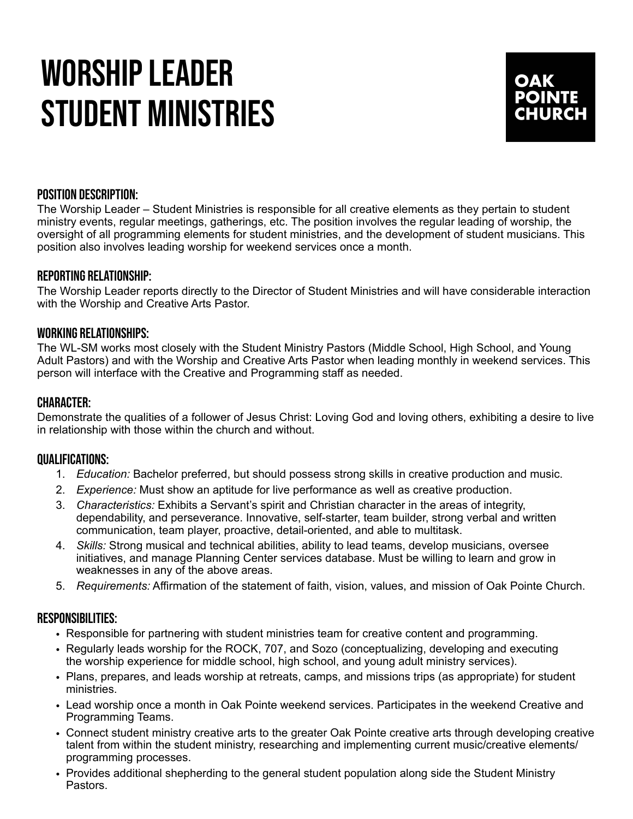# WORSHIP LEADER STUDENT MINISTRIES



### POSITION DESCRIPTION:

The Worship Leader – Student Ministries is responsible for all creative elements as they pertain to student ministry events, regular meetings, gatherings, etc. The position involves the regular leading of worship, the oversight of all programming elements for student ministries, and the development of student musicians. This position also involves leading worship for weekend services once a month.

## REPORTING RELATIONSHIP:

The Worship Leader reports directly to the Director of Student Ministries and will have considerable interaction with the Worship and Creative Arts Pastor.

#### WORKING RELATIONSHIPS:

The WL-SM works most closely with the Student Ministry Pastors (Middle School, High School, and Young Adult Pastors) and with the Worship and Creative Arts Pastor when leading monthly in weekend services. This person will interface with the Creative and Programming staff as needed.

## CHARACTER:

Demonstrate the qualities of a follower of Jesus Christ: Loving God and loving others, exhibiting a desire to live in relationship with those within the church and without.

#### QUALIFICATIONS:

- 1. *Education:* Bachelor preferred, but should possess strong skills in creative production and music.
- 2. *Experience:* Must show an aptitude for live performance as well as creative production.
- 3. *Characteristics:* Exhibits a Servant's spirit and Christian character in the areas of integrity, dependability, and perseverance. Innovative, self-starter, team builder, strong verbal and written communication, team player, proactive, detail-oriented, and able to multitask.
- 4. *Skills:* Strong musical and technical abilities, ability to lead teams, develop musicians, oversee initiatives, and manage Planning Center services database. Must be willing to learn and grow in weaknesses in any of the above areas.
- 5. *Requirements:* Affirmation of the statement of faith, vision, values, and mission of Oak Pointe Church.

#### RESPONSIBILITIES:

- Responsible for partnering with student ministries team for creative content and programming.
- Regularly leads worship for the ROCK, 707, and Sozo (conceptualizing, developing and executing the worship experience for middle school, high school, and young adult ministry services).
- Plans, prepares, and leads worship at retreats, camps, and missions trips (as appropriate) for student ministries.
- Lead worship once a month in Oak Pointe weekend services. Participates in the weekend Creative and Programming Teams.
- Connect student ministry creative arts to the greater Oak Pointe creative arts through developing creative talent from within the student ministry, researching and implementing current music/creative elements/ programming processes.
- Provides additional shepherding to the general student population along side the Student Ministry Pastors.